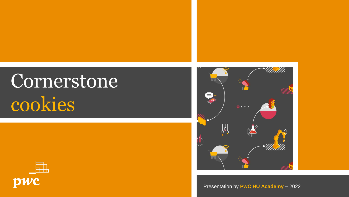## Cornerstone cookies





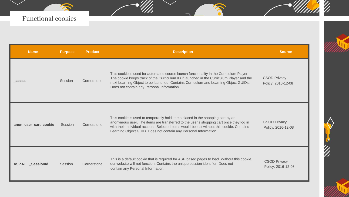| <b>Name</b>              | <b>Purpose</b> | <b>Product</b> | <b>Description</b>                                                                                                                                                                                                                                                                                                                         | <b>Source</b>                             |
|--------------------------|----------------|----------------|--------------------------------------------------------------------------------------------------------------------------------------------------------------------------------------------------------------------------------------------------------------------------------------------------------------------------------------------|-------------------------------------------|
| accss                    | Session        | Cornerstone    | This cookie is used for automated course launch functionality in the Curriculum Player.<br>The cookie keeps track of the Curriculum ID if launched in the Curriculum Player and the<br>next Learning Object to be launched. Contains Curriculum and Learning Object GUIDs.<br>Does not contain any Personal Information.                   | <b>CSOD Privacy</b><br>Policy, 2016-12-08 |
| anon_user_cart_cookie    | Session        | Cornerstone    | This cookie is used to temporarily hold items placed in the shopping cart by an<br>anonymous user. The items are transferred to the user's shopping cart once they log in<br>with their individual account. Selected items would be lost without this cookie. Contains<br>Learning Object GUID. Does not contain any Personal Information. | <b>CSOD Privacy</b><br>Policy, 2016-12-08 |
| <b>ASP.NET SessionId</b> | Session        | Cornerstone    | This is a default cookie that is required for ASP based pages to load. Without this cookie,<br>our website will not function. Contains the unique session identifier. Does not<br>contain any Personal Information.                                                                                                                        | <b>CSOD Privacy</b><br>Policy, 2016-12-08 |

 $\rm{Z}$ 

 $\rm{Z}$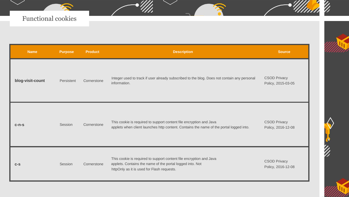| <b>Name</b>      | <b>Purpose</b> | <b>Product</b> | <b>Description</b>                                                                                                                                                             | <b>Source</b>                             |
|------------------|----------------|----------------|--------------------------------------------------------------------------------------------------------------------------------------------------------------------------------|-------------------------------------------|
| blog-visit-count | Persistent     | Cornerstone    | Integer used to track if user already subscribed to the blog. Does not contain any personal<br>information.                                                                    | <b>CSOD Privacy</b><br>Policy, 2015-03-05 |
| $c-n-s$          | Session        | Cornerstone    | This cookie is required to support content file encryption and Java<br>applets when client launches http content. Contains the name of the portal logged into.                 | <b>CSOD Privacy</b><br>Policy, 2016-12-08 |
| $C-S$            | Session        | Cornerstone    | This cookie is required to support content file encryption and Java<br>applets. Contains the name of the portal logged into. Not<br>httpOnly as it is used for Flash requests. | <b>CSOD Privacy</b><br>Policy, 2016-12-08 |

 $\rm{Z}$ 

 $\mathbb{Z}^2$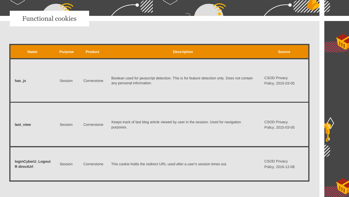| <b>Name</b>                       | <b>Purpose</b> | <b>Product</b> | <b>Description</b>                                                                                                       | <b>Source</b>                             |
|-----------------------------------|----------------|----------------|--------------------------------------------------------------------------------------------------------------------------|-------------------------------------------|
| has_js                            | Session        | Cornerstone    | Boolean used for javascript detection. This is for feature detection only. Does not contain<br>any personal information. | <b>CSOD Privacy</b><br>Policy, 2015-03-05 |
| last_view                         | Session        | Cornerstone    | Keeps track of last blog article viewed by user in the session. Used for navigation<br>purposes.                         | <b>CSOD Privacy</b><br>Policy, 2015-03-05 |
| loginCyberU_Logout<br>R directUrl | Session        | Cornerstone    | This cookie holds the redirect URL used after a user's session times out.                                                | <b>CSOD Privacy</b><br>Policy, 2016-12-08 |

 $\overline{\mathscr{C}}$ 

 $\mathbb{Z}^{\prime}$